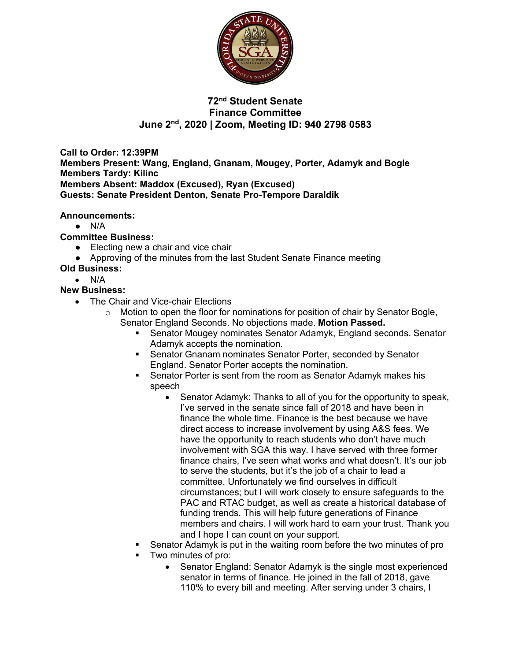

# **72nd Student Senate Finance Committee June 2nd, 2020 | Zoom, Meeting ID: 940 2798 0583**

**Call to Order: 12:39PM Members Present: Wang, England, Gnanam, Mougey, Porter, Adamyk and Bogle Members Tardy: Kilinc Members Absent: Maddox (Excused), Ryan (Excused) Guests: Senate President Denton, Senate Pro-Tempore Daraldik**

**Announcements:**

 $\bullet$  N/A

#### **Committee Business:**

- Electing new a chair and vice chair
- Approving of the minutes from the last Student Senate Finance meeting

#### **Old Business:**

• N/A

### **New Business:**

- The Chair and Vice-chair Elections
	- $\circ$  Motion to open the floor for nominations for position of chair by Senator Bogle, Senator England Seconds. No objections made. **Motion Passed.**
		- § Senator Mougey nominates Senator Adamyk, England seconds. Senator Adamyk accepts the nomination.
		- Senator Gnanam nominates Senator Porter, seconded by Senator England. Senator Porter accepts the nomination.
		- Senator Porter is sent from the room as Senator Adamyk makes his speech
			- Senator Adamyk: Thanks to all of you for the opportunity to speak, I've served in the senate since fall of 2018 and have been in finance the whole time. Finance is the best because we have direct access to increase involvement by using A&S fees. We have the opportunity to reach students who don't have much involvement with SGA this way. I have served with three former finance chairs, I've seen what works and what doesn't. It's our job to serve the students, but it's the job of a chair to lead a committee. Unfortunately we find ourselves in difficult circumstances; but I will work closely to ensure safeguards to the PAC and RTAC budget, as well as create a historical database of funding trends. This will help future generations of Finance members and chairs. I will work hard to earn your trust. Thank you and I hope I can count on your support.
		- § Senator Adamyk is put in the waiting room before the two minutes of pro
		- § Two minutes of pro:
			- Senator England: Senator Adamyk is the single most experienced senator in terms of finance. He joined in the fall of 2018, gave 110% to every bill and meeting. After serving under 3 chairs, I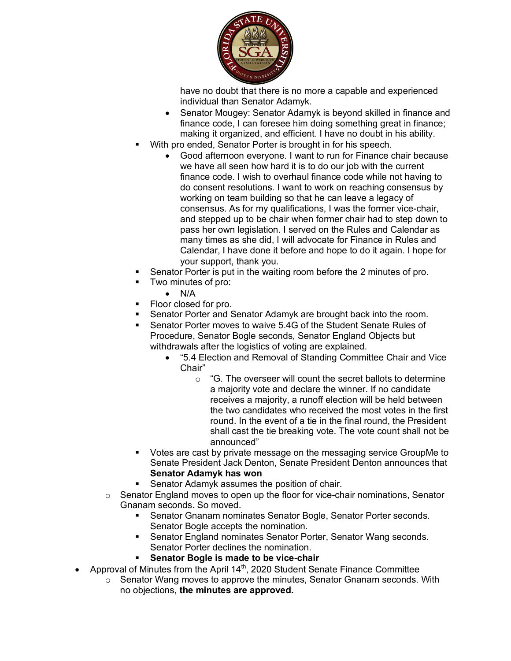

have no doubt that there is no more a capable and experienced individual than Senator Adamyk.

- Senator Mougey: Senator Adamyk is beyond skilled in finance and finance code, I can foresee him doing something great in finance; making it organized, and efficient. I have no doubt in his ability.
- With pro ended, Senator Porter is brought in for his speech.
	- Good afternoon everyone. I want to run for Finance chair because we have all seen how hard it is to do our job with the current finance code. I wish to overhaul finance code while not having to do consent resolutions. I want to work on reaching consensus by working on team building so that he can leave a legacy of consensus. As for my qualifications, I was the former vice-chair, and stepped up to be chair when former chair had to step down to pass her own legislation. I served on the Rules and Calendar as many times as she did, I will advocate for Finance in Rules and Calendar, I have done it before and hope to do it again. I hope for your support, thank you.
- § Senator Porter is put in the waiting room before the 2 minutes of pro.
- § Two minutes of pro:
	- N/A
- Floor closed for pro.
- § Senator Porter and Senator Adamyk are brought back into the room.
- § Senator Porter moves to waive 5.4G of the Student Senate Rules of Procedure, Senator Bogle seconds, Senator England Objects but withdrawals after the logistics of voting are explained.
	- "5.4 Election and Removal of Standing Committee Chair and Vice Chair"
		- $\circ$  "G. The overseer will count the secret ballots to determine a majority vote and declare the winner. If no candidate receives a majority, a runoff election will be held between the two candidates who received the most votes in the first round. In the event of a tie in the final round, the President shall cast the tie breaking vote. The vote count shall not be announced"
- § Votes are cast by private message on the messaging service GroupMe to Senate President Jack Denton, Senate President Denton announces that **Senator Adamyk has won**
- Senator Adamyk assumes the position of chair.
- $\circ$  Senator England moves to open up the floor for vice-chair nominations, Senator Gnanam seconds. So moved.
	- Senator Gnanam nominates Senator Bogle, Senator Porter seconds. Senator Bogle accepts the nomination.
	- § Senator England nominates Senator Porter, Senator Wang seconds. Senator Porter declines the nomination.
	- § **Senator Bogle is made to be vice-chair**
- Approval of Minutes from the April 14<sup>th</sup>, 2020 Student Senate Finance Committee
	- $\circ$  Senator Wang moves to approve the minutes, Senator Gnanam seconds. With no objections, **the minutes are approved.**